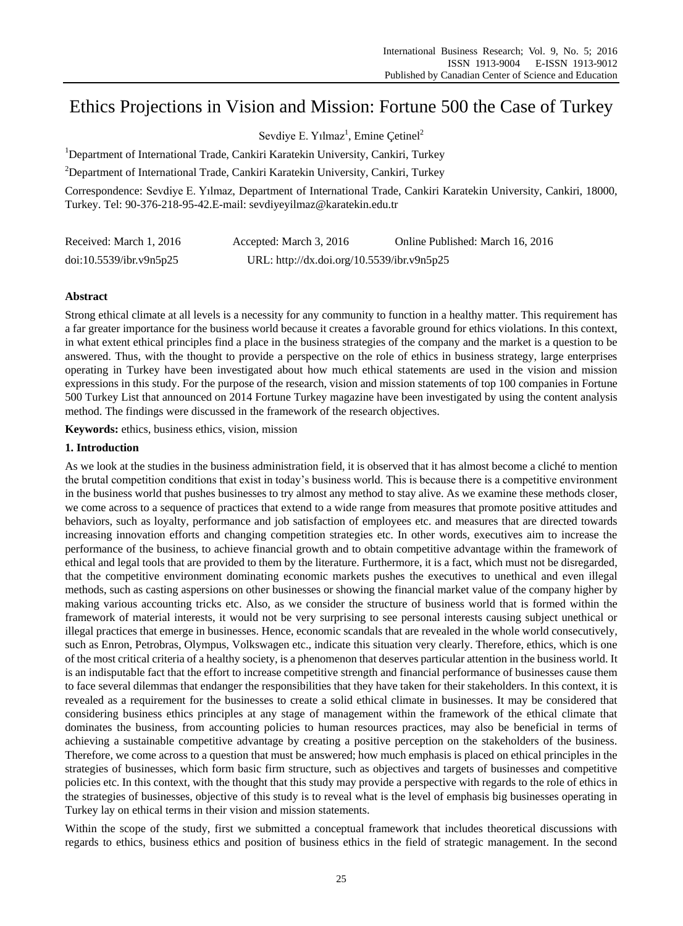# Ethics Projections in Vision and Mission: Fortune 500 the Case of Turkey

Sevdiye E. Yılmaz<sup>1</sup>, Emine Çetinel<sup>2</sup>

<sup>1</sup>Department of International Trade, Cankiri Karatekin University, Cankiri, Turkey

<sup>2</sup>Department of International Trade, Cankiri Karatekin University, Cankiri, Turkey

Correspondence: Sevdiye E. Yılmaz, Department of International Trade, Cankiri Karatekin University, Cankiri, 18000, Turkey. Tel: 90-376-218-95-42.E-mail: sevdiyeyilmaz@karatekin.edu.tr

| Received: March 1, 2016 | Accepted: March 3, 2016                    | Online Published: March 16, 2016 |
|-------------------------|--------------------------------------------|----------------------------------|
| doi:10.5539/ibr.v9n5p25 | URL: http://dx.doi.org/10.5539/ibr.v9n5p25 |                                  |

### **Abstract**

Strong ethical climate at all levels is a necessity for any community to function in a healthy matter. This requirement has a far greater importance for the business world because it creates a favorable ground for ethics violations. In this context, in what extent ethical principles find a place in the business strategies of the company and the market is a question to be answered. Thus, with the thought to provide a perspective on the role of ethics in business strategy, large enterprises operating in Turkey have been investigated about how much ethical statements are used in the vision and mission expressions in this study. For the purpose of the research, vision and mission statements of top 100 companies in Fortune 500 Turkey List that announced on 2014 Fortune Turkey magazine have been investigated by using the content analysis method. The findings were discussed in the framework of the research objectives.

**Keywords:** ethics, business ethics, vision, mission

# **1. Introduction**

As we look at the studies in the business administration field, it is observed that it has almost become a cliché to mention the brutal competition conditions that exist in today's business world. This is because there is a competitive environment in the business world that pushes businesses to try almost any method to stay alive. As we examine these methods closer, we come across to a sequence of practices that extend to a wide range from measures that promote positive attitudes and behaviors, such as loyalty, performance and job satisfaction of employees etc. and measures that are directed towards increasing innovation efforts and changing competition strategies etc. In other words, executives aim to increase the performance of the business, to achieve financial growth and to obtain competitive advantage within the framework of ethical and legal tools that are provided to them by the literature. Furthermore, it is a fact, which must not be disregarded, that the competitive environment dominating economic markets pushes the executives to unethical and even illegal methods, such as casting aspersions on other businesses or showing the financial market value of the company higher by making various accounting tricks etc. Also, as we consider the structure of business world that is formed within the framework of material interests, it would not be very surprising to see personal interests causing subject unethical or illegal practices that emerge in businesses. Hence, economic scandals that are revealed in the whole world consecutively, such as Enron, Petrobras, Olympus, Volkswagen etc., indicate this situation very clearly. Therefore, ethics, which is one of the most critical criteria of a healthy society, is a phenomenon that deserves particular attention in the business world. It is an indisputable fact that the effort to increase competitive strength and financial performance of businesses cause them to face several dilemmas that endanger the responsibilities that they have taken for their stakeholders. In this context, it is revealed as a requirement for the businesses to create a solid ethical climate in businesses. It may be considered that considering business ethics principles at any stage of management within the framework of the ethical climate that dominates the business, from accounting policies to human resources practices, may also be beneficial in terms of achieving a sustainable competitive advantage by creating a positive perception on the stakeholders of the business. Therefore, we come across to a question that must be answered; how much emphasis is placed on ethical principles in the strategies of businesses, which form basic firm structure, such as objectives and targets of businesses and competitive policies etc. In this context, with the thought that this study may provide a perspective with regards to the role of ethics in the strategies of businesses, objective of this study is to reveal what is the level of emphasis big businesses operating in Turkey lay on ethical terms in their vision and mission statements.

Within the scope of the study, first we submitted a conceptual framework that includes theoretical discussions with regards to ethics, business ethics and position of business ethics in the field of strategic management. In the second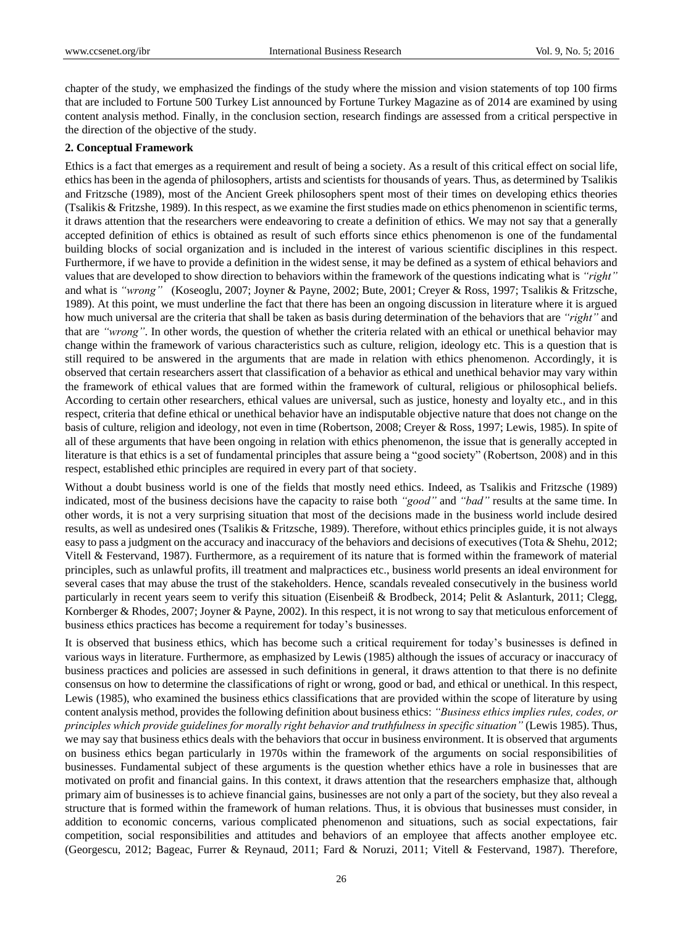chapter of the study, we emphasized the findings of the study where the mission and vision statements of top 100 firms that are included to Fortune 500 Turkey List announced by Fortune Turkey Magazine as of 2014 are examined by using content analysis method. Finally, in the conclusion section, research findings are assessed from a critical perspective in the direction of the objective of the study.

#### **2. Conceptual Framework**

Ethics is a fact that emerges as a requirement and result of being a society. As a result of this critical effect on social life, ethics has been in the agenda of philosophers, artists and scientists for thousands of years. Thus, as determined by Tsalikis and Fritzsche (1989), most of the Ancient Greek philosophers spent most of their times on developing ethics theories (Tsalikis & Fritzshe, 1989). In this respect, as we examine the first studies made on ethics phenomenon in scientific terms, it draws attention that the researchers were endeavoring to create a definition of ethics. We may not say that a generally accepted definition of ethics is obtained as result of such efforts since ethics phenomenon is one of the fundamental building blocks of social organization and is included in the interest of various scientific disciplines in this respect. Furthermore, if we have to provide a definition in the widest sense, it may be defined as a system of ethical behaviors and values that are developed to show direction to behaviors within the framework of the questions indicating what is *"right"* and what is *"wrong"* (Koseoglu, 2007; Joyner & Payne, 2002; Bute, 2001; Creyer & Ross, 1997; Tsalikis & Fritzsche, 1989). At this point, we must underline the fact that there has been an ongoing discussion in literature where it is argued how much universal are the criteria that shall be taken as basis during determination of the behaviors that are *"right"* and that are *"wrong"*. In other words, the question of whether the criteria related with an ethical or unethical behavior may change within the framework of various characteristics such as culture, religion, ideology etc. This is a question that is still required to be answered in the arguments that are made in relation with ethics phenomenon. Accordingly, it is observed that certain researchers assert that classification of a behavior as ethical and unethical behavior may vary within the framework of ethical values that are formed within the framework of cultural, religious or philosophical beliefs. According to certain other researchers, ethical values are universal, such as justice, honesty and loyalty etc., and in this respect, criteria that define ethical or unethical behavior have an indisputable objective nature that does not change on the basis of culture, religion and ideology, not even in time (Robertson, 2008; Creyer & Ross, 1997; Lewis, 1985). In spite of all of these arguments that have been ongoing in relation with ethics phenomenon, the issue that is generally accepted in literature is that ethics is a set of fundamental principles that assure being a "good society" (Robertson, 2008) and in this respect, established ethic principles are required in every part of that society.

Without a doubt business world is one of the fields that mostly need ethics. Indeed, as Tsalikis and Fritzsche (1989) indicated, most of the business decisions have the capacity to raise both *"good"* and *"bad"* results at the same time. In other words, it is not a very surprising situation that most of the decisions made in the business world include desired results, as well as undesired ones (Tsalikis & Fritzsche, 1989). Therefore, without ethics principles guide, it is not always easy to pass a judgment on the accuracy and inaccuracy of the behaviors and decisions of executives (Tota & Shehu, 2012; Vitell & Festervand, 1987). Furthermore, as a requirement of its nature that is formed within the framework of material principles, such as unlawful profits, ill treatment and malpractices etc., business world presents an ideal environment for several cases that may abuse the trust of the stakeholders. Hence, scandals revealed consecutively in the business world particularly in recent years seem to verify this situation (Eisenbeiß & Brodbeck, 2014; Pelit & Aslanturk, 2011; Clegg, Kornberger & Rhodes, 2007; Joyner & Payne, 2002). In this respect, it is not wrong to say that meticulous enforcement of business ethics practices has become a requirement for today's businesses.

It is observed that business ethics, which has become such a critical requirement for today's businesses is defined in various ways in literature. Furthermore, as emphasized by Lewis (1985) although the issues of accuracy or inaccuracy of business practices and policies are assessed in such definitions in general, it draws attention to that there is no definite consensus on how to determine the classifications of right or wrong, good or bad, and ethical or unethical. In this respect, Lewis (1985), who examined the business ethics classifications that are provided within the scope of literature by using content analysis method, provides the following definition about business ethics: *"Business ethics implies rules, codes, or principles which provide guidelines for morally right behavior and truthfulness in specific situation"* (Lewis 1985). Thus, we may say that business ethics deals with the behaviors that occur in business environment. It is observed that arguments on business ethics began particularly in 1970s within the framework of the arguments on social responsibilities of businesses. Fundamental subject of these arguments is the question whether ethics have a role in businesses that are motivated on profit and financial gains. In this context, it draws attention that the researchers emphasize that, although primary aim of businesses is to achieve financial gains, businesses are not only a part of the society, but they also reveal a structure that is formed within the framework of human relations. Thus, it is obvious that businesses must consider, in addition to economic concerns, various complicated phenomenon and situations, such as social expectations, fair competition, social responsibilities and attitudes and behaviors of an employee that affects another employee etc. (Georgescu, 2012; Bageac, Furrer & Reynaud, 2011; Fard & Noruzi, 2011; Vitell & Festervand, 1987). Therefore,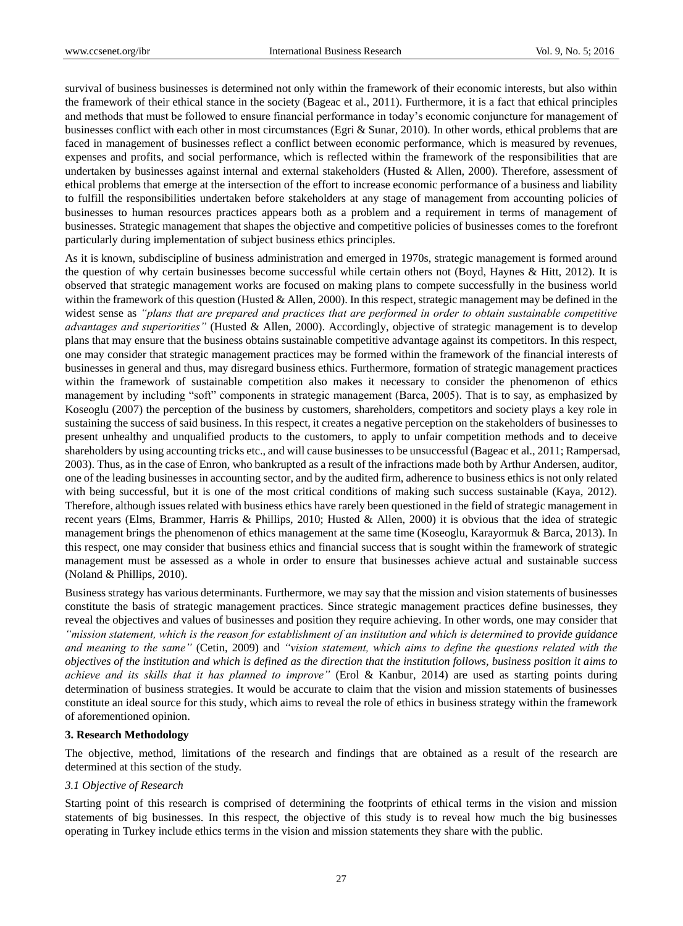survival of business businesses is determined not only within the framework of their economic interests, but also within the framework of their ethical stance in the society (Bageac et al., 2011). Furthermore, it is a fact that ethical principles and methods that must be followed to ensure financial performance in today's economic conjuncture for management of businesses conflict with each other in most circumstances (Egri & Sunar, 2010). In other words, ethical problems that are faced in management of businesses reflect a conflict between economic performance, which is measured by revenues, expenses and profits, and social performance, which is reflected within the framework of the responsibilities that are undertaken by businesses against internal and external stakeholders (Husted & Allen, 2000). Therefore, assessment of ethical problems that emerge at the intersection of the effort to increase economic performance of a business and liability to fulfill the responsibilities undertaken before stakeholders at any stage of management from accounting policies of businesses to human resources practices appears both as a problem and a requirement in terms of management of businesses. Strategic management that shapes the objective and competitive policies of businesses comes to the forefront particularly during implementation of subject business ethics principles.

As it is known, subdiscipline of business administration and emerged in 1970s, strategic management is formed around the question of why certain businesses become successful while certain others not (Boyd, Haynes & Hitt, 2012). It is observed that strategic management works are focused on making plans to compete successfully in the business world within the framework of this question (Husted & Allen, 2000). In this respect, strategic management may be defined in the widest sense as *"plans that are prepared and practices that are performed in order to obtain sustainable competitive advantages and superiorities"* (Husted & Allen, 2000). Accordingly, objective of strategic management is to develop plans that may ensure that the business obtains sustainable competitive advantage against its competitors. In this respect, one may consider that strategic management practices may be formed within the framework of the financial interests of businesses in general and thus, may disregard business ethics. Furthermore, formation of strategic management practices within the framework of sustainable competition also makes it necessary to consider the phenomenon of ethics management by including "soft" components in strategic management (Barca, 2005). That is to say, as emphasized by Koseoglu (2007) the perception of the business by customers, shareholders, competitors and society plays a key role in sustaining the success of said business. In this respect, it creates a negative perception on the stakeholders of businesses to present unhealthy and unqualified products to the customers, to apply to unfair competition methods and to deceive shareholders by using accounting tricks etc., and will cause businesses to be unsuccessful (Bageac et al., 2011; Rampersad, 2003). Thus, as in the case of Enron, who bankrupted as a result of the infractions made both by Arthur Andersen, auditor, one of the leading businesses in accounting sector, and by the audited firm, adherence to business ethics is not only related with being successful, but it is one of the most critical conditions of making such success sustainable (Kaya, 2012). Therefore, although issues related with business ethics have rarely been questioned in the field of strategic management in recent years (Elms, Brammer, Harris & Phillips, 2010; Husted & Allen, 2000) it is obvious that the idea of strategic management brings the phenomenon of ethics management at the same time (Koseoglu, Karayormuk & Barca, 2013). In this respect, one may consider that business ethics and financial success that is sought within the framework of strategic management must be assessed as a whole in order to ensure that businesses achieve actual and sustainable success (Noland & Phillips, 2010).

Business strategy has various determinants. Furthermore, we may say that the mission and vision statements of businesses constitute the basis of strategic management practices. Since strategic management practices define businesses, they reveal the objectives and values of businesses and position they require achieving. In other words, one may consider that *"mission statement, which is the reason for establishment of an institution and which is determined to provide guidance and meaning to the same"* (Cetin, 2009) and *"vision statement, which aims to define the questions related with the objectives of the institution and which is defined as the direction that the institution follows, business position it aims to achieve and its skills that it has planned to improve"* (Erol & Kanbur, 2014) are used as starting points during determination of business strategies. It would be accurate to claim that the vision and mission statements of businesses constitute an ideal source for this study, which aims to reveal the role of ethics in business strategy within the framework of aforementioned opinion.

### **3. Research Methodology**

The objective, method, limitations of the research and findings that are obtained as a result of the research are determined at this section of the study.

#### *3.1 Objective of Research*

Starting point of this research is comprised of determining the footprints of ethical terms in the vision and mission statements of big businesses. In this respect, the objective of this study is to reveal how much the big businesses operating in Turkey include ethics terms in the vision and mission statements they share with the public.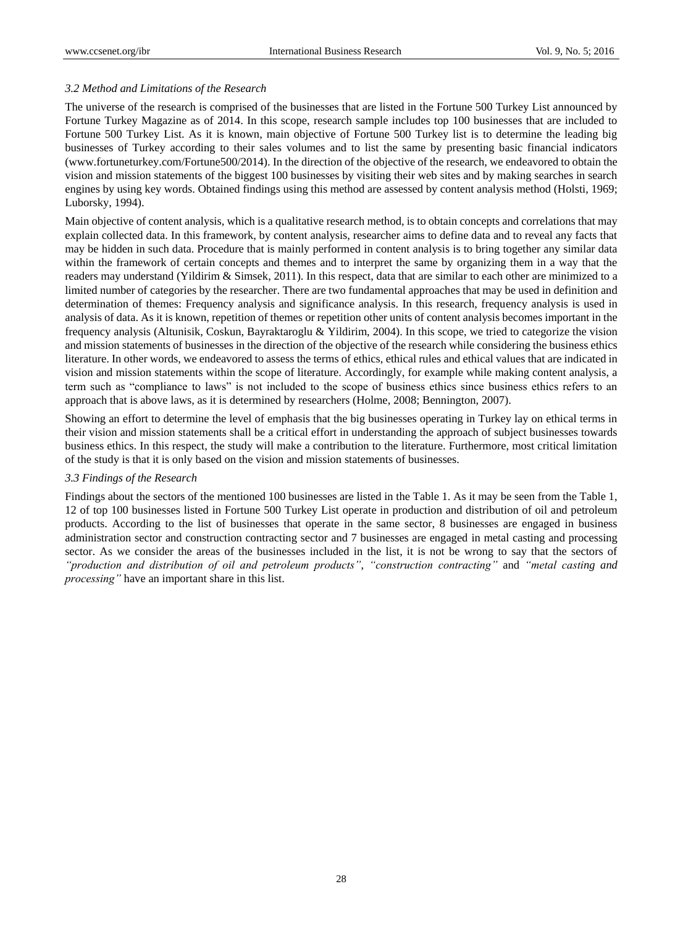#### *3.2 Method and Limitations of the Research*

The universe of the research is comprised of the businesses that are listed in the Fortune 500 Turkey List announced by Fortune Turkey Magazine as of 2014. In this scope, research sample includes top 100 businesses that are included to Fortune 500 Turkey List. As it is known, main objective of Fortune 500 Turkey list is to determine the leading big businesses of Turkey according to their sales volumes and to list the same by presenting basic financial indicators (www.fortuneturkey.com/Fortune500/2014). In the direction of the objective of the research, we endeavored to obtain the vision and mission statements of the biggest 100 businesses by visiting their web sites and by making searches in search engines by using key words. Obtained findings using this method are assessed by content analysis method (Holsti, 1969; Luborsky, 1994).

Main objective of content analysis, which is a qualitative research method, is to obtain concepts and correlations that may explain collected data. In this framework, by content analysis, researcher aims to define data and to reveal any facts that may be hidden in such data. Procedure that is mainly performed in content analysis is to bring together any similar data within the framework of certain concepts and themes and to interpret the same by organizing them in a way that the readers may understand (Yildirim & Simsek, 2011). In this respect, data that are similar to each other are minimized to a limited number of categories by the researcher. There are two fundamental approaches that may be used in definition and determination of themes: Frequency analysis and significance analysis. In this research, frequency analysis is used in analysis of data. As it is known, repetition of themes or repetition other units of content analysis becomes important in the frequency analysis (Altunisik, Coskun, Bayraktaroglu & Yildirim, 2004). In this scope, we tried to categorize the vision and mission statements of businesses in the direction of the objective of the research while considering the business ethics literature. In other words, we endeavored to assess the terms of ethics, ethical rules and ethical values that are indicated in vision and mission statements within the scope of literature. Accordingly, for example while making content analysis, a term such as "compliance to laws" is not included to the scope of business ethics since business ethics refers to an approach that is above laws, as it is determined by researchers (Holme, 2008; Bennington, 2007).

Showing an effort to determine the level of emphasis that the big businesses operating in Turkey lay on ethical terms in their vision and mission statements shall be a critical effort in understanding the approach of subject businesses towards business ethics. In this respect, the study will make a contribution to the literature. Furthermore, most critical limitation of the study is that it is only based on the vision and mission statements of businesses.

### *3.3 Findings of the Research*

Findings about the sectors of the mentioned 100 businesses are listed in the Table 1. As it may be seen from the Table 1, 12 of top 100 businesses listed in Fortune 500 Turkey List operate in production and distribution of oil and petroleum products. According to the list of businesses that operate in the same sector, 8 businesses are engaged in business administration sector and construction contracting sector and 7 businesses are engaged in metal casting and processing sector. As we consider the areas of the businesses included in the list, it is not be wrong to say that the sectors of *"production and distribution of oil and petroleum products"*, *"construction contracting"* and *"metal casting and processing"* have an important share in this list.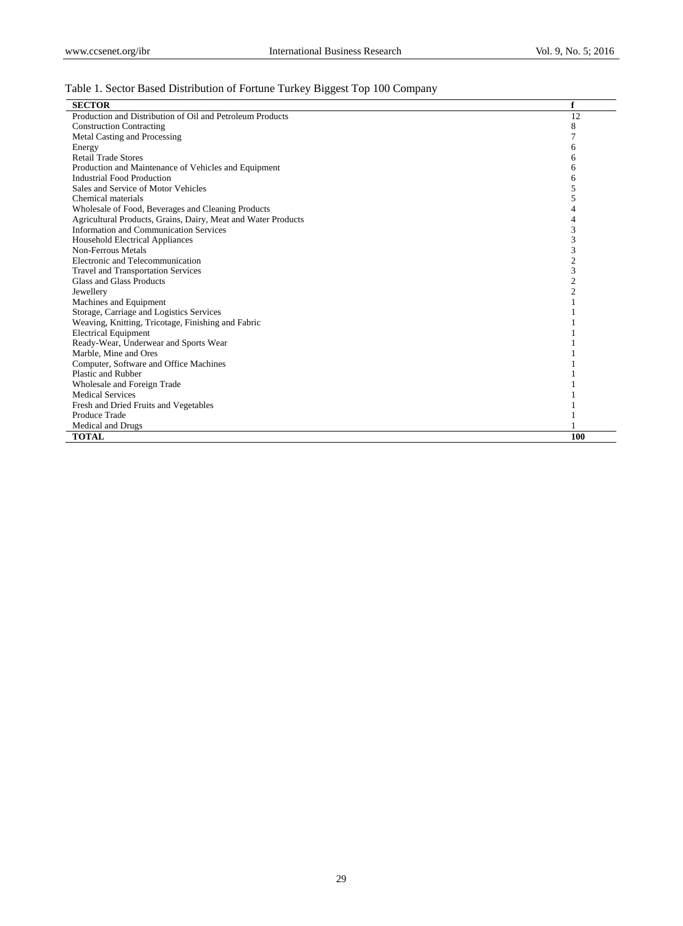# Table 1. Sector Based Distribution of Fortune Turkey Biggest Top 100 Company

| <b>SECTOR</b>                                                 | f              |
|---------------------------------------------------------------|----------------|
| Production and Distribution of Oil and Petroleum Products     | 12             |
| <b>Construction Contracting</b>                               | 8              |
| Metal Casting and Processing                                  | 7              |
| Energy                                                        | 6              |
| <b>Retail Trade Stores</b>                                    | 6              |
| Production and Maintenance of Vehicles and Equipment          | 6              |
| <b>Industrial Food Production</b>                             | 6              |
| Sales and Service of Motor Vehicles                           | 5              |
| Chemical materials                                            | 5              |
| Wholesale of Food, Beverages and Cleaning Products            | 4              |
| Agricultural Products, Grains, Dairy, Meat and Water Products | 4              |
| Information and Communication Services                        | 3              |
| <b>Household Electrical Appliances</b>                        | 3              |
| Non-Ferrous Metals                                            | 3              |
| Electronic and Telecommunication                              | $\mathfrak{2}$ |
| <b>Travel and Transportation Services</b>                     | 3              |
| Glass and Glass Products                                      | $\overline{c}$ |
| Jewellery                                                     | $\overline{c}$ |
| Machines and Equipment                                        |                |
| Storage, Carriage and Logistics Services                      |                |
| Weaving, Knitting, Tricotage, Finishing and Fabric            |                |
| <b>Electrical Equipment</b>                                   |                |
| Ready-Wear, Underwear and Sports Wear                         |                |
| Marble, Mine and Ores                                         |                |
| Computer, Software and Office Machines                        |                |
| Plastic and Rubber                                            |                |
| Wholesale and Foreign Trade                                   |                |
| <b>Medical Services</b>                                       |                |
| Fresh and Dried Fruits and Vegetables                         |                |
| Produce Trade                                                 |                |
| Medical and Drugs                                             |                |
| <b>TOTAL</b>                                                  | 100            |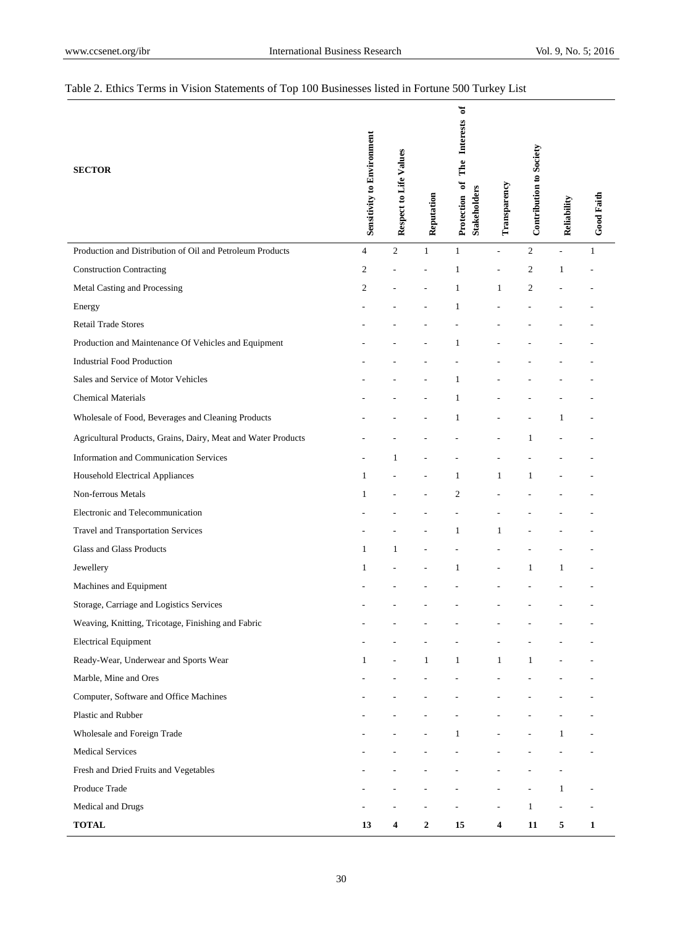# Table 2. Ethics Terms in Vision Statements of Top 100 Businesses listed in Fortune 500 Turkey List

| <b>SECTOR</b>                                                 | <b>Sensitivity to Environment</b> | Respect to Life Values | Reputation       | đ<br>The Interests<br>đ<br><b>Stakeholders</b><br>Protection | Transparency | <b>Contribution to Society</b> | Reliability              | <b>Good Faith</b>        |
|---------------------------------------------------------------|-----------------------------------|------------------------|------------------|--------------------------------------------------------------|--------------|--------------------------------|--------------------------|--------------------------|
| Production and Distribution of Oil and Petroleum Products     | $\overline{4}$                    | $\mathfrak{2}$         | $\mathbf{1}$     | $\mathbf{1}$                                                 | L,           | $\overline{2}$                 | $\overline{a}$           | 1                        |
| <b>Construction Contracting</b>                               | $\overline{c}$                    |                        |                  | 1                                                            |              | $\overline{c}$                 | 1                        |                          |
| Metal Casting and Processing                                  | $\overline{c}$                    |                        |                  | 1                                                            | 1            | $\overline{c}$                 |                          |                          |
| Energy                                                        |                                   |                        |                  | 1                                                            |              |                                |                          |                          |
| <b>Retail Trade Stores</b>                                    |                                   |                        |                  |                                                              |              |                                |                          |                          |
| Production and Maintenance Of Vehicles and Equipment          |                                   |                        |                  | 1                                                            |              |                                |                          |                          |
| <b>Industrial Food Production</b>                             |                                   |                        |                  |                                                              |              |                                |                          |                          |
| Sales and Service of Motor Vehicles                           |                                   |                        |                  | 1                                                            |              |                                |                          |                          |
| <b>Chemical Materials</b>                                     |                                   |                        |                  | 1                                                            |              |                                |                          |                          |
| Wholesale of Food, Beverages and Cleaning Products            |                                   |                        |                  | 1                                                            |              |                                | 1                        |                          |
| Agricultural Products, Grains, Dairy, Meat and Water Products |                                   |                        |                  |                                                              |              | 1                              |                          |                          |
| <b>Information and Communication Services</b>                 |                                   | 1                      |                  |                                                              |              |                                |                          |                          |
| Household Electrical Appliances                               | $\mathbf{1}$                      |                        |                  | 1                                                            | 1            | 1                              |                          |                          |
| Non-ferrous Metals                                            | 1                                 |                        |                  | $\mathfrak{2}$                                               |              |                                |                          |                          |
| Electronic and Telecommunication                              |                                   |                        |                  |                                                              |              |                                |                          |                          |
| Travel and Transportation Services                            |                                   |                        |                  | 1                                                            | 1            |                                |                          |                          |
| Glass and Glass Products                                      | 1                                 | 1                      |                  |                                                              |              |                                |                          |                          |
| Jewellery                                                     | 1                                 |                        |                  | 1                                                            |              | 1                              | 1                        |                          |
| Machines and Equipment                                        |                                   |                        |                  |                                                              |              |                                |                          |                          |
| Storage, Carriage and Logistics Services                      |                                   |                        |                  |                                                              |              |                                |                          |                          |
| Weaving, Knitting, Tricotage, Finishing and Fabric            |                                   |                        |                  |                                                              |              |                                |                          |                          |
| <b>Electrical Equipment</b>                                   |                                   |                        |                  |                                                              |              |                                |                          |                          |
| Ready-Wear, Underwear and Sports Wear                         | $\mathbf{1}$                      | $\overline{a}$         | $\mathbf{1}$     | $\mathbf{1}$                                                 | $\mathbf{1}$ | $\mathbf{1}$                   |                          |                          |
| Marble, Mine and Ores                                         |                                   |                        |                  |                                                              |              |                                |                          |                          |
| Computer, Software and Office Machines                        |                                   |                        |                  |                                                              |              |                                |                          |                          |
| Plastic and Rubber                                            |                                   |                        |                  |                                                              |              |                                |                          |                          |
| Wholesale and Foreign Trade                                   |                                   |                        |                  | $\mathbf{1}$                                                 |              |                                | $\mathbf{1}$             |                          |
| <b>Medical Services</b>                                       |                                   |                        |                  |                                                              |              |                                |                          | $\overline{a}$           |
| Fresh and Dried Fruits and Vegetables                         |                                   |                        |                  |                                                              |              |                                | $\overline{a}$           |                          |
| Produce Trade                                                 |                                   |                        |                  |                                                              |              |                                | $\mathbf{1}$             | $\overline{\phantom{0}}$ |
| Medical and Drugs                                             |                                   |                        |                  |                                                              |              | $\mathbf{1}$                   | $\overline{\phantom{a}}$ | $\overline{\phantom{a}}$ |
| <b>TOTAL</b>                                                  | 13                                | 4                      | $\boldsymbol{2}$ | 15                                                           | 4            | 11                             | 5                        | $\mathbf{1}$             |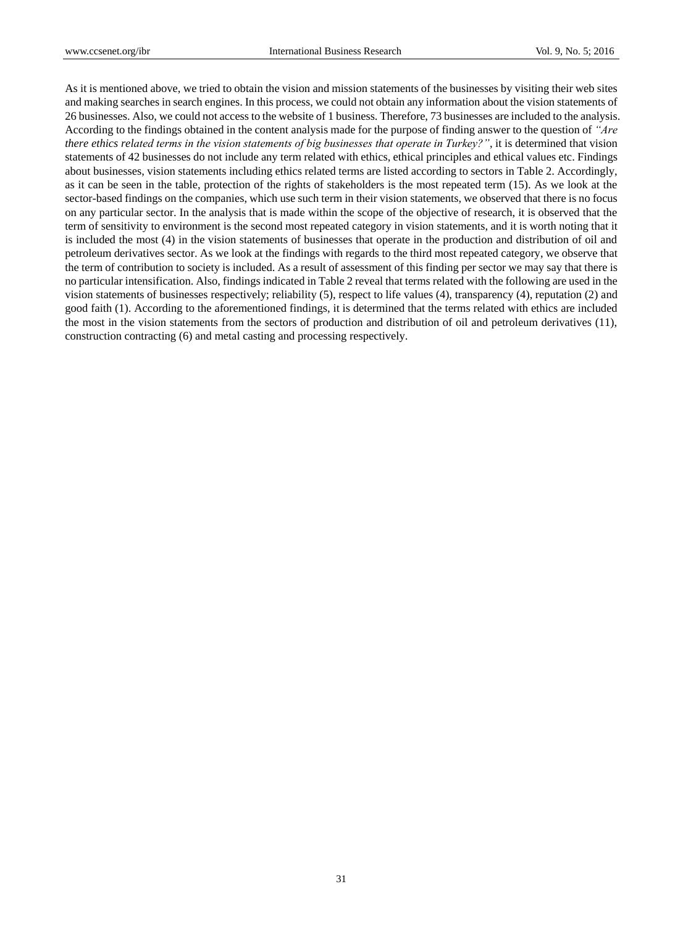As it is mentioned above, we tried to obtain the vision and mission statements of the businesses by visiting their web sites and making searches in search engines. In this process, we could not obtain any information about the vision statements of 26 businesses. Also, we could not access to the website of 1 business. Therefore, 73 businesses are included to the analysis. According to the findings obtained in the content analysis made for the purpose of finding answer to the question of *"Are there ethics related terms in the vision statements of big businesses that operate in Turkey?"*, it is determined that vision statements of 42 businesses do not include any term related with ethics, ethical principles and ethical values etc. Findings about businesses, vision statements including ethics related terms are listed according to sectors in Table 2. Accordingly, as it can be seen in the table, protection of the rights of stakeholders is the most repeated term (15). As we look at the sector-based findings on the companies, which use such term in their vision statements, we observed that there is no focus on any particular sector. In the analysis that is made within the scope of the objective of research, it is observed that the term of sensitivity to environment is the second most repeated category in vision statements, and it is worth noting that it is included the most (4) in the vision statements of businesses that operate in the production and distribution of oil and petroleum derivatives sector. As we look at the findings with regards to the third most repeated category, we observe that the term of contribution to society is included. As a result of assessment of this finding per sector we may say that there is no particular intensification. Also, findings indicated in Table 2 reveal that terms related with the following are used in the vision statements of businesses respectively; reliability (5), respect to life values (4), transparency (4), reputation (2) and good faith (1). According to the aforementioned findings, it is determined that the terms related with ethics are included the most in the vision statements from the sectors of production and distribution of oil and petroleum derivatives (11), construction contracting (6) and metal casting and processing respectively.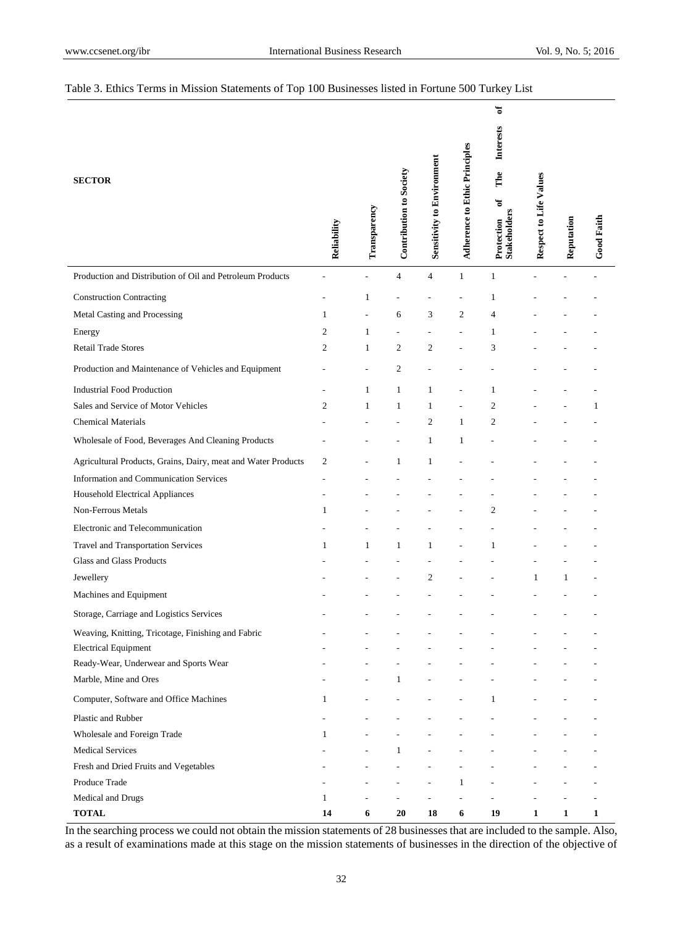## Table 3. Ethics Terms in Mission Statements of Top 100 Businesses listed in Fortune 500 Turkey List

| Production and Distribution of Oil and Petroleum Products<br>4<br>$\mathbf{1}$<br>4<br>1<br><b>Construction Contracting</b><br>1<br>1<br>Metal Casting and Processing<br>3<br>$\mathfrak{2}$<br>$\overline{4}$<br>$\mathbf{1}$<br>6<br>Energy<br>2<br>1<br>1<br>L,<br><b>Retail Trade Stores</b><br>$\overline{c}$<br>$\overline{c}$<br>3<br>1<br>2<br>$\overline{c}$<br>Production and Maintenance of Vehicles and Equipment<br><b>Industrial Food Production</b><br>$\mathbf{1}$<br>$\mathbf{1}$<br>1<br>1<br>Sales and Service of Motor Vehicles<br>$\mathfrak{2}$<br>$\overline{\mathbf{c}}$<br>$\mathbf{1}$<br>$\mathbf{1}$<br>1<br>1<br>$\overline{2}$<br><b>Chemical Materials</b><br>2<br>1<br>Wholesale of Food, Beverages And Cleaning Products<br>1<br>$\mathbf{1}$<br>Agricultural Products, Grains, Dairy, meat and Water Products<br>$\mathfrak{2}$<br>1<br>1<br><b>Information and Communication Services</b><br><b>Household Electrical Appliances</b><br>Non-Ferrous Metals<br>$\overline{c}$<br>1<br>Electronic and Telecommunication<br>Travel and Transportation Services<br>$\mathbf{1}$<br>$\mathbf{1}$<br>1<br>1<br>1<br>Glass and Glass Products |
|--------------------------------------------------------------------------------------------------------------------------------------------------------------------------------------------------------------------------------------------------------------------------------------------------------------------------------------------------------------------------------------------------------------------------------------------------------------------------------------------------------------------------------------------------------------------------------------------------------------------------------------------------------------------------------------------------------------------------------------------------------------------------------------------------------------------------------------------------------------------------------------------------------------------------------------------------------------------------------------------------------------------------------------------------------------------------------------------------------------------------------------------------------------------------|
|                                                                                                                                                                                                                                                                                                                                                                                                                                                                                                                                                                                                                                                                                                                                                                                                                                                                                                                                                                                                                                                                                                                                                                          |
|                                                                                                                                                                                                                                                                                                                                                                                                                                                                                                                                                                                                                                                                                                                                                                                                                                                                                                                                                                                                                                                                                                                                                                          |
|                                                                                                                                                                                                                                                                                                                                                                                                                                                                                                                                                                                                                                                                                                                                                                                                                                                                                                                                                                                                                                                                                                                                                                          |
|                                                                                                                                                                                                                                                                                                                                                                                                                                                                                                                                                                                                                                                                                                                                                                                                                                                                                                                                                                                                                                                                                                                                                                          |
|                                                                                                                                                                                                                                                                                                                                                                                                                                                                                                                                                                                                                                                                                                                                                                                                                                                                                                                                                                                                                                                                                                                                                                          |
|                                                                                                                                                                                                                                                                                                                                                                                                                                                                                                                                                                                                                                                                                                                                                                                                                                                                                                                                                                                                                                                                                                                                                                          |
|                                                                                                                                                                                                                                                                                                                                                                                                                                                                                                                                                                                                                                                                                                                                                                                                                                                                                                                                                                                                                                                                                                                                                                          |
|                                                                                                                                                                                                                                                                                                                                                                                                                                                                                                                                                                                                                                                                                                                                                                                                                                                                                                                                                                                                                                                                                                                                                                          |
|                                                                                                                                                                                                                                                                                                                                                                                                                                                                                                                                                                                                                                                                                                                                                                                                                                                                                                                                                                                                                                                                                                                                                                          |
|                                                                                                                                                                                                                                                                                                                                                                                                                                                                                                                                                                                                                                                                                                                                                                                                                                                                                                                                                                                                                                                                                                                                                                          |
|                                                                                                                                                                                                                                                                                                                                                                                                                                                                                                                                                                                                                                                                                                                                                                                                                                                                                                                                                                                                                                                                                                                                                                          |
|                                                                                                                                                                                                                                                                                                                                                                                                                                                                                                                                                                                                                                                                                                                                                                                                                                                                                                                                                                                                                                                                                                                                                                          |
|                                                                                                                                                                                                                                                                                                                                                                                                                                                                                                                                                                                                                                                                                                                                                                                                                                                                                                                                                                                                                                                                                                                                                                          |
|                                                                                                                                                                                                                                                                                                                                                                                                                                                                                                                                                                                                                                                                                                                                                                                                                                                                                                                                                                                                                                                                                                                                                                          |
|                                                                                                                                                                                                                                                                                                                                                                                                                                                                                                                                                                                                                                                                                                                                                                                                                                                                                                                                                                                                                                                                                                                                                                          |
|                                                                                                                                                                                                                                                                                                                                                                                                                                                                                                                                                                                                                                                                                                                                                                                                                                                                                                                                                                                                                                                                                                                                                                          |
|                                                                                                                                                                                                                                                                                                                                                                                                                                                                                                                                                                                                                                                                                                                                                                                                                                                                                                                                                                                                                                                                                                                                                                          |
| Jewellery<br>2<br>1<br>1                                                                                                                                                                                                                                                                                                                                                                                                                                                                                                                                                                                                                                                                                                                                                                                                                                                                                                                                                                                                                                                                                                                                                 |
| Machines and Equipment                                                                                                                                                                                                                                                                                                                                                                                                                                                                                                                                                                                                                                                                                                                                                                                                                                                                                                                                                                                                                                                                                                                                                   |
| Storage, Carriage and Logistics Services                                                                                                                                                                                                                                                                                                                                                                                                                                                                                                                                                                                                                                                                                                                                                                                                                                                                                                                                                                                                                                                                                                                                 |
| Weaving, Knitting, Tricotage, Finishing and Fabric                                                                                                                                                                                                                                                                                                                                                                                                                                                                                                                                                                                                                                                                                                                                                                                                                                                                                                                                                                                                                                                                                                                       |
| <b>Electrical Equipment</b>                                                                                                                                                                                                                                                                                                                                                                                                                                                                                                                                                                                                                                                                                                                                                                                                                                                                                                                                                                                                                                                                                                                                              |
| Ready-Wear, Underwear and Sports Wear                                                                                                                                                                                                                                                                                                                                                                                                                                                                                                                                                                                                                                                                                                                                                                                                                                                                                                                                                                                                                                                                                                                                    |
| Marble, Mine and Ores<br>$\mathbf{1}$                                                                                                                                                                                                                                                                                                                                                                                                                                                                                                                                                                                                                                                                                                                                                                                                                                                                                                                                                                                                                                                                                                                                    |
| Computer, Software and Office Machines<br>$\mathbf{1}$<br>$\mathbf{1}$                                                                                                                                                                                                                                                                                                                                                                                                                                                                                                                                                                                                                                                                                                                                                                                                                                                                                                                                                                                                                                                                                                   |
| Plastic and Rubber                                                                                                                                                                                                                                                                                                                                                                                                                                                                                                                                                                                                                                                                                                                                                                                                                                                                                                                                                                                                                                                                                                                                                       |
| Wholesale and Foreign Trade<br>$\mathbf{1}$                                                                                                                                                                                                                                                                                                                                                                                                                                                                                                                                                                                                                                                                                                                                                                                                                                                                                                                                                                                                                                                                                                                              |
| <b>Medical Services</b><br>$\mathbf{1}$                                                                                                                                                                                                                                                                                                                                                                                                                                                                                                                                                                                                                                                                                                                                                                                                                                                                                                                                                                                                                                                                                                                                  |
| Fresh and Dried Fruits and Vegetables                                                                                                                                                                                                                                                                                                                                                                                                                                                                                                                                                                                                                                                                                                                                                                                                                                                                                                                                                                                                                                                                                                                                    |
| Produce Trade<br>$\mathbf{1}$                                                                                                                                                                                                                                                                                                                                                                                                                                                                                                                                                                                                                                                                                                                                                                                                                                                                                                                                                                                                                                                                                                                                            |
| Medical and Drugs<br>$\mathbf{1}$<br>$\overline{a}$<br>L,<br><b>TOTAL</b><br>18<br>6<br>19<br>$\mathbf{1}$<br>14<br>6<br>20<br>1<br>$\mathbf{1}$                                                                                                                                                                                                                                                                                                                                                                                                                                                                                                                                                                                                                                                                                                                                                                                                                                                                                                                                                                                                                         |

In the searching process we could not obtain the mission statements of 28 businesses that are included to the sample. Also, as a result of examinations made at this stage on the mission statements of businesses in the direction of the objective of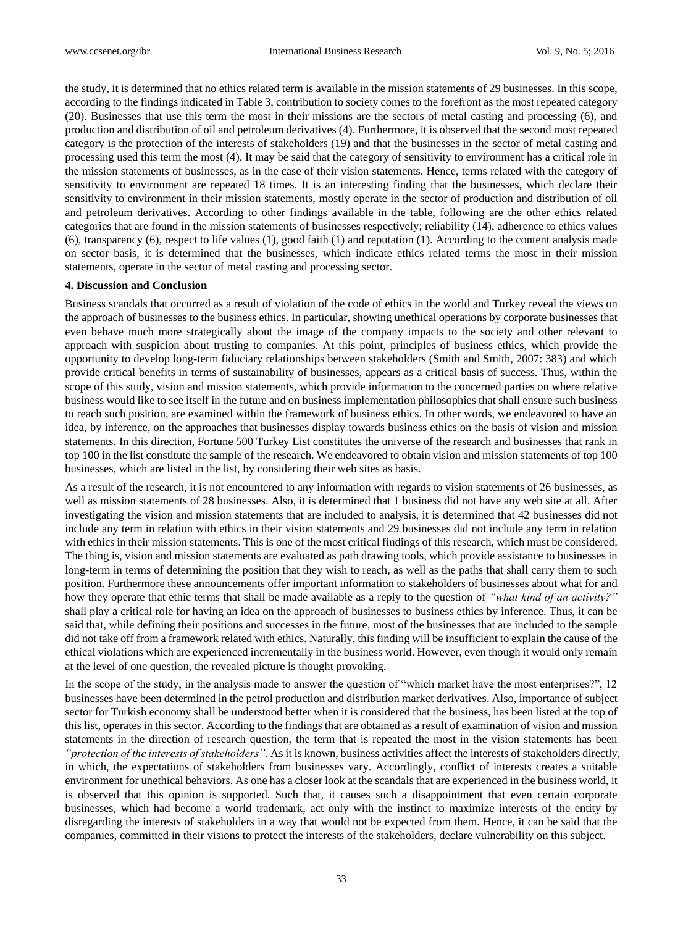the study, it is determined that no ethics related term is available in the mission statements of 29 businesses. In this scope, according to the findings indicated in Table 3, contribution to society comes to the forefront as the most repeated category (20). Businesses that use this term the most in their missions are the sectors of metal casting and processing (6), and production and distribution of oil and petroleum derivatives (4). Furthermore, it is observed that the second most repeated category is the protection of the interests of stakeholders (19) and that the businesses in the sector of metal casting and processing used this term the most (4). It may be said that the category of sensitivity to environment has a critical role in the mission statements of businesses, as in the case of their vision statements. Hence, terms related with the category of sensitivity to environment are repeated 18 times. It is an interesting finding that the businesses, which declare their sensitivity to environment in their mission statements, mostly operate in the sector of production and distribution of oil and petroleum derivatives. According to other findings available in the table, following are the other ethics related categories that are found in the mission statements of businesses respectively; reliability (14), adherence to ethics values (6), transparency (6), respect to life values (1), good faith (1) and reputation (1). According to the content analysis made on sector basis, it is determined that the businesses, which indicate ethics related terms the most in their mission statements, operate in the sector of metal casting and processing sector.

#### **4. Discussion and Conclusion**

Business scandals that occurred as a result of violation of the code of ethics in the world and Turkey reveal the views on the approach of businesses to the business ethics. In particular, showing unethical operations by corporate businesses that even behave much more strategically about the image of the company impacts to the society and other relevant to approach with suspicion about trusting to companies. At this point, principles of business ethics, which provide the opportunity to develop long-term fiduciary relationships between stakeholders (Smith and Smith, 2007: 383) and which provide critical benefits in terms of sustainability of businesses, appears as a critical basis of success. Thus, within the scope of this study, vision and mission statements, which provide information to the concerned parties on where relative business would like to see itself in the future and on business implementation philosophies that shall ensure such business to reach such position, are examined within the framework of business ethics. In other words, we endeavored to have an idea, by inference, on the approaches that businesses display towards business ethics on the basis of vision and mission statements. In this direction, Fortune 500 Turkey List constitutes the universe of the research and businesses that rank in top 100 in the list constitute the sample of the research. We endeavored to obtain vision and mission statements of top 100 businesses, which are listed in the list, by considering their web sites as basis.

As a result of the research, it is not encountered to any information with regards to vision statements of 26 businesses, as well as mission statements of 28 businesses. Also, it is determined that 1 business did not have any web site at all. After investigating the vision and mission statements that are included to analysis, it is determined that 42 businesses did not include any term in relation with ethics in their vision statements and 29 businesses did not include any term in relation with ethics in their mission statements. This is one of the most critical findings of this research, which must be considered. The thing is, vision and mission statements are evaluated as path drawing tools, which provide assistance to businesses in long-term in terms of determining the position that they wish to reach, as well as the paths that shall carry them to such position. Furthermore these announcements offer important information to stakeholders of businesses about what for and how they operate that ethic terms that shall be made available as a reply to the question of *"what kind of an activity?"*  shall play a critical role for having an idea on the approach of businesses to business ethics by inference. Thus, it can be said that, while defining their positions and successes in the future, most of the businesses that are included to the sample did not take off from a framework related with ethics. Naturally, this finding will be insufficient to explain the cause of the ethical violations which are experienced incrementally in the business world. However, even though it would only remain at the level of one question, the revealed picture is thought provoking.

In the scope of the study, in the analysis made to answer the question of "which market have the most enterprises?", 12 businesses have been determined in the petrol production and distribution market derivatives. Also, importance of subject sector for Turkish economy shall be understood better when it is considered that the business, has been listed at the top of this list, operates in this sector. According to the findings that are obtained as a result of examination of vision and mission statements in the direction of research question, the term that is repeated the most in the vision statements has been

*"protection of the interests of stakeholders"*. As it is known, business activities affect the interests of stakeholders directly, in which, the expectations of stakeholders from businesses vary. Accordingly, conflict of interests creates a suitable environment for unethical behaviors. As one has a closer look at the scandals that are experienced in the business world, it is observed that this opinion is supported. Such that, it causes such a disappointment that even certain corporate businesses, which had become a world trademark, act only with the instinct to maximize interests of the entity by disregarding the interests of stakeholders in a way that would not be expected from them. Hence, it can be said that the companies, committed in their visions to protect the interests of the stakeholders, declare vulnerability on this subject.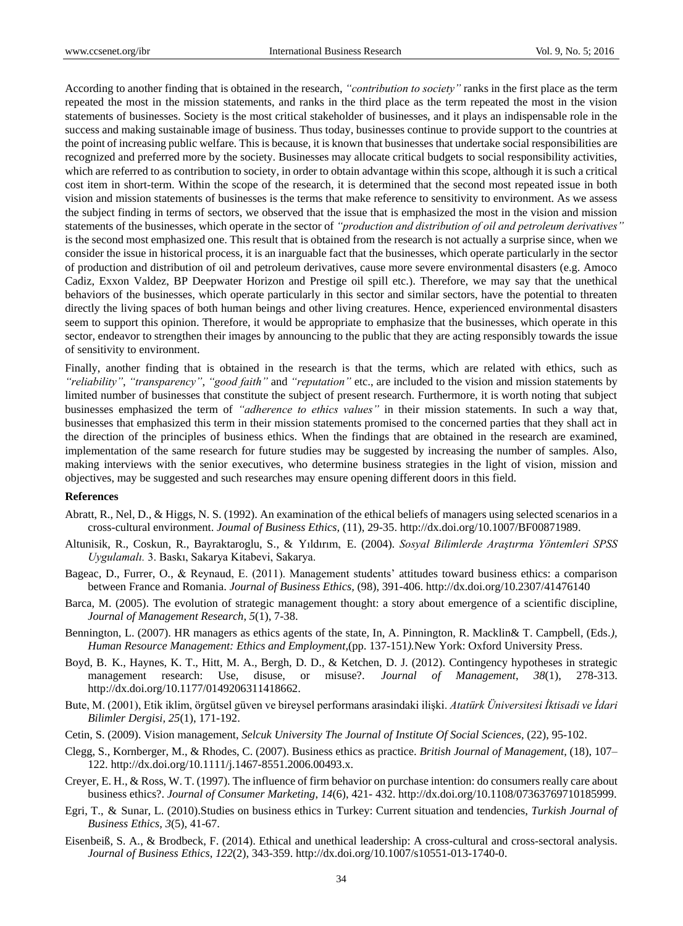According to another finding that is obtained in the research, *"contribution to society"* ranks in the first place as the term repeated the most in the mission statements, and ranks in the third place as the term repeated the most in the vision statements of businesses. Society is the most critical stakeholder of businesses, and it plays an indispensable role in the success and making sustainable image of business. Thus today, businesses continue to provide support to the countries at the point of increasing public welfare. This is because, it is known that businesses that undertake social responsibilities are recognized and preferred more by the society. Businesses may allocate critical budgets to social responsibility activities, which are referred to as contribution to society, in order to obtain advantage within this scope, although it is such a critical cost item in short-term. Within the scope of the research, it is determined that the second most repeated issue in both vision and mission statements of businesses is the terms that make reference to sensitivity to environment. As we assess the subject finding in terms of sectors, we observed that the issue that is emphasized the most in the vision and mission statements of the businesses, which operate in the sector of *"production and distribution of oil and petroleum derivatives"*  is the second most emphasized one. This result that is obtained from the research is not actually a surprise since, when we consider the issue in historical process, it is an inarguable fact that the businesses, which operate particularly in the sector of production and distribution of oil and petroleum derivatives, cause more severe environmental disasters (e.g. Amoco Cadiz, Exxon Valdez, BP Deepwater Horizon and Prestige oil spill etc.). Therefore, we may say that the unethical behaviors of the businesses, which operate particularly in this sector and similar sectors, have the potential to threaten directly the living spaces of both human beings and other living creatures. Hence, experienced environmental disasters seem to support this opinion. Therefore, it would be appropriate to emphasize that the businesses, which operate in this sector, endeavor to strengthen their images by announcing to the public that they are acting responsibly towards the issue of sensitivity to environment.

Finally, another finding that is obtained in the research is that the terms, which are related with ethics, such as *"reliability"*, *"transparency"*, *"good faith"* and *"reputation"* etc., are included to the vision and mission statements by limited number of businesses that constitute the subject of present research. Furthermore, it is worth noting that subject businesses emphasized the term of *"adherence to ethics values"* in their mission statements. In such a way that, businesses that emphasized this term in their mission statements promised to the concerned parties that they shall act in the direction of the principles of business ethics. When the findings that are obtained in the research are examined, implementation of the same research for future studies may be suggested by increasing the number of samples. Also, making interviews with the senior executives, who determine business strategies in the light of vision, mission and objectives, may be suggested and such researches may ensure opening different doors in this field.

#### **References**

- Abratt, R., Nel, D., & Higgs, N. S. (1992). An examination of the ethical beliefs of managers using selected scenarios in a cross-cultural environment. *Joumal of Business Ethics,* (11), 29-35. http://dx.doi.org/10.1007/BF00871989.
- Altunisik, R., Coskun, R., Bayraktaroglu, S., & Yıldırım, E. (2004). *Sosyal Bilimlerde Araştırma Yöntemleri SPSS Uygulamalı.* 3. Baskı, Sakarya Kitabevi, Sakarya.
- Bageac, D., Furrer, O., & Reynaud, E. (2011). Management students' attitudes toward business ethics: a comparison between France and Romania. *Journal of Business Ethics,* (98), 391-406. http://dx.doi.org/10.2307/41476140
- Barca, M. (2005). The evolution of strategic management thought: a story about emergence of a scientific discipline, *Journal of Management Research*, *5*(1), 7-38.
- Bennington, L. (2007). HR managers as ethics agents of the state, In, A. Pinnington, R. Macklin& T. Campbell, (Eds*.), Human Resource Management: Ethics and Employment*,(pp. 137-151*).*New York: Oxford University Press.
- Boyd, B. K., Haynes, K. T., Hitt, M. A., Bergh, D. D., & Ketchen, D. J. (2012). Contingency hypotheses in strategic management research: Use, disuse, or misuse?. *Journal of Management*, *38*(1), 278-313. http://dx.doi.org/10.1177/0149206311418662.
- Bute, M. (2001), Etik iklim, örgütsel güven ve bireysel performans arasindaki ilişki. *Atatürk Üniversitesi İktisadi ve İdari Bilimler Dergisi, 25*(1), 171-192.
- Cetin, S. (2009). Vision management, *Selcuk University The Journal of Institute Of Social Sciences,* (22), 95-102.
- Clegg, S., Kornberger, M., & Rhodes, C. (2007). Business ethics as practice. *British Journal of Management*, (18), 107– 122. http://dx.doi.org/10.1111/j.1467-8551.2006.00493.x.
- Creyer, E. H., & Ross, W. T. (1997). The influence of firm behavior on purchase intention: do consumers really care about business ethics?. *Journal of Consumer Marketing*, *14*(6), 421- 432. http://dx.doi.org/10.1108/07363769710185999.
- Egri, T., & Sunar, L. (2010).Studies on business ethics in Turkey: Current situation and tendencies, *Turkish Journal of Business Ethics, 3*(5), 41-67.
- Eisenbeiß, S. A., & Brodbeck, F. (2014). Ethical and unethical leadership: A cross-cultural and cross-sectoral analysis. *Journal of Business Ethics*, *122*(2), 343-359. http://dx.doi.org/10.1007/s10551-013-1740-0.